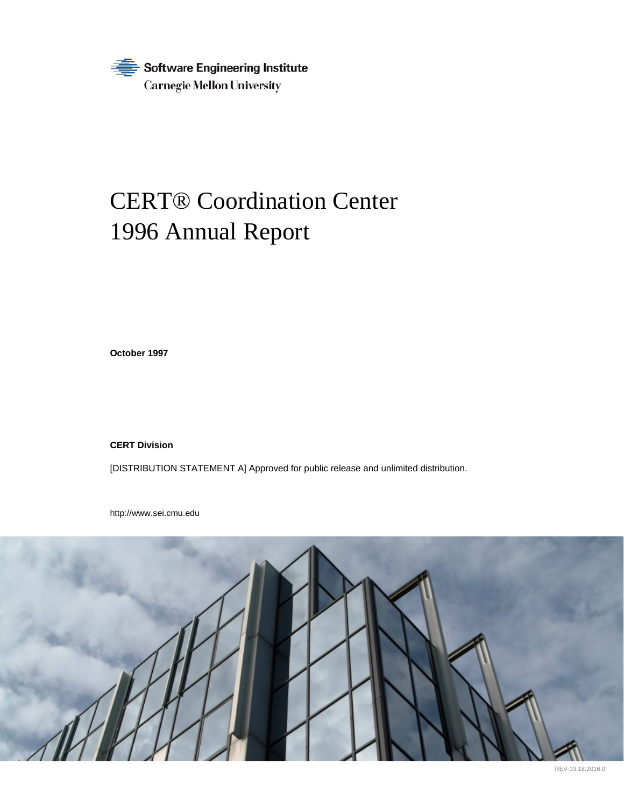Software Engineering Institute € Carnegie Mellon University

# CERT® Coordination Center 1996 Annual Report

**October 1997**

**CERT Division**

[DISTRIBUTION STATEMENT A] Approved for public release and unlimited distribution.

http://www.sei.cmu.edu



REV-03.18.2016.0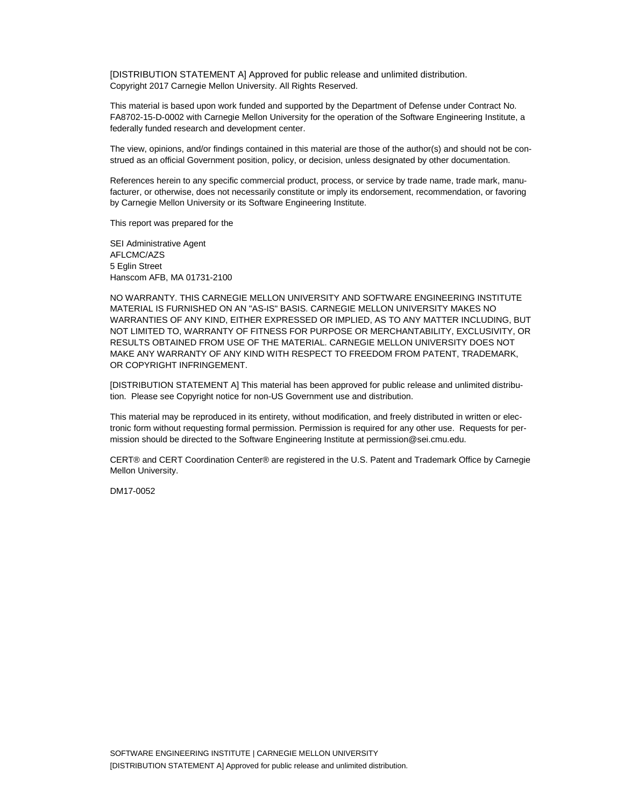[DISTRIBUTION STATEMENT A] Approved for public release and unlimited distribution. Copyright 2017 Carnegie Mellon University. All Rights Reserved.

This material is based upon work funded and supported by the Department of Defense under Contract No. FA8702-15-D-0002 with Carnegie Mellon University for the operation of the Software Engineering Institute, a federally funded research and development center.

The view, opinions, and/or findings contained in this material are those of the author(s) and should not be construed as an official Government position, policy, or decision, unless designated by other documentation.

References herein to any specific commercial product, process, or service by trade name, trade mark, manufacturer, or otherwise, does not necessarily constitute or imply its endorsement, recommendation, or favoring by Carnegie Mellon University or its Software Engineering Institute.

This report was prepared for the

SEI Administrative Agent AFLCMC/AZS 5 Eglin Street Hanscom AFB, MA 01731-2100

NO WARRANTY. THIS CARNEGIE MELLON UNIVERSITY AND SOFTWARE ENGINEERING INSTITUTE MATERIAL IS FURNISHED ON AN "AS-IS" BASIS. CARNEGIE MELLON UNIVERSITY MAKES NO WARRANTIES OF ANY KIND, EITHER EXPRESSED OR IMPLIED, AS TO ANY MATTER INCLUDING, BUT NOT LIMITED TO, WARRANTY OF FITNESS FOR PURPOSE OR MERCHANTABILITY, EXCLUSIVITY, OR RESULTS OBTAINED FROM USE OF THE MATERIAL. CARNEGIE MELLON UNIVERSITY DOES NOT MAKE ANY WARRANTY OF ANY KIND WITH RESPECT TO FREEDOM FROM PATENT, TRADEMARK, OR COPYRIGHT INFRINGEMENT.

[DISTRIBUTION STATEMENT A] This material has been approved for public release and unlimited distribution. Please see Copyright notice for non-US Government use and distribution.

This material may be reproduced in its entirety, without modification, and freely distributed in written or electronic form without requesting formal permission. Permission is required for any other use. Requests for permission should be directed to the Software Engineering Institute at permission@sei.cmu.edu.

CERT® and CERT Coordination Center® are registered in the U.S. Patent and Trademark Office by Carnegie Mellon University.

DM17-0052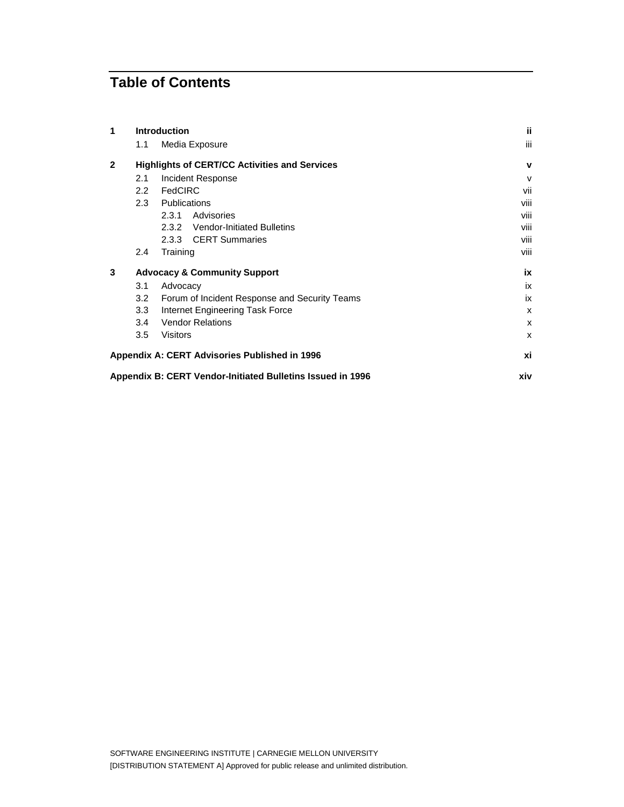## **Table of Contents**

| 1            | <b>Introduction</b>                     |                                                            | ii.          |
|--------------|-----------------------------------------|------------------------------------------------------------|--------------|
|              | 1.1                                     | Media Exposure                                             | iii.         |
| $\mathbf{2}$ |                                         | <b>Highlights of CERT/CC Activities and Services</b>       | v            |
|              | 2.1                                     | Incident Response                                          | $\mathsf{v}$ |
|              | 2.2                                     | FedCIRC                                                    | vii          |
|              | 2.3                                     | Publications                                               | viii         |
|              |                                         | Advisories<br>2.3.1                                        | viii         |
|              |                                         | Vendor-Initiated Bulletins<br>2.3.2                        | viii         |
|              |                                         | 2.3.3 CERT Summaries                                       | viii         |
|              | 2.4                                     | Training                                                   | viii         |
| 3            | <b>Advocacy &amp; Community Support</b> |                                                            | ix           |
|              | 3.1                                     | Advocacy                                                   | ix           |
|              | 3.2                                     | Forum of Incident Response and Security Teams              | ix           |
|              | 3.3 <sub>2</sub>                        | Internet Engineering Task Force                            | x            |
|              | 3.4                                     | <b>Vendor Relations</b>                                    | $\mathsf{x}$ |
|              | $3.5^{\circ}$                           | <b>Visitors</b>                                            | $\mathsf{x}$ |
|              |                                         | Appendix A: CERT Advisories Published in 1996              | хi           |
|              |                                         | Appendix B: CERT Vendor-Initiated Bulletins Issued in 1996 | xiv          |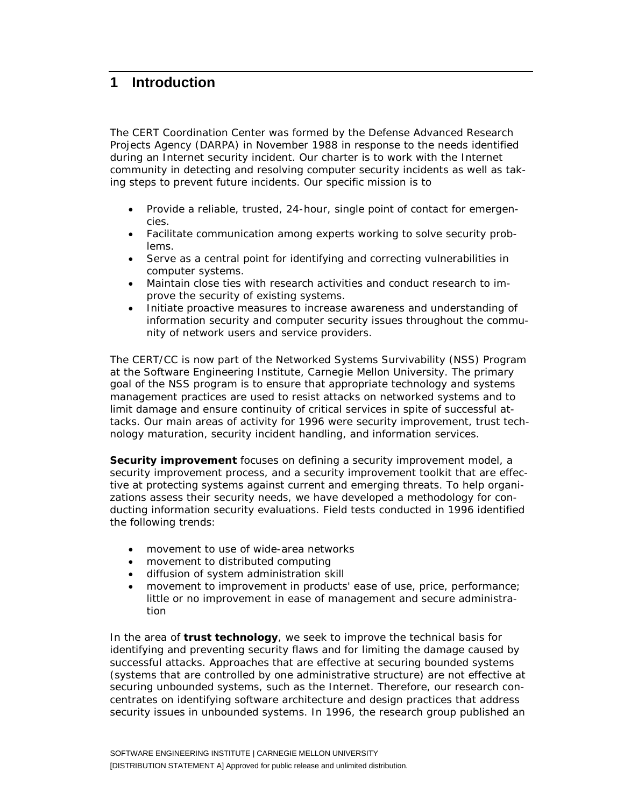## <span id="page-3-0"></span>**1 Introduction**

The CERT Coordination Center was formed by the Defense Advanced Research Projects Agency (DARPA) in November 1988 in response to the needs identified during an Internet security incident. Our charter is to work with the Internet community in detecting and resolving computer security incidents as well as taking steps to prevent future incidents. Our specific mission is to

- Provide a reliable, trusted, 24-hour, single point of contact for emergencies.
- Facilitate communication among experts working to solve security problems.
- Serve as a central point for identifying and correcting vulnerabilities in computer systems.
- Maintain close ties with research activities and conduct research to improve the security of existing systems.
- Initiate proactive measures to increase awareness and understanding of information security and computer security issues throughout the community of network users and service providers.

The CERT/CC is now part of the Networked Systems Survivability (NSS) Program at the Software Engineering Institute, Carnegie Mellon University. The primary goal of the NSS program is to ensure that appropriate technology and systems management practices are used to resist attacks on networked systems and to limit damage and ensure continuity of critical services in spite of successful attacks. Our main areas of activity for 1996 were security improvement, trust technology maturation, security incident handling, and information services.

**Security improvement** focuses on defining a security improvement model, a security improvement process, and a security improvement toolkit that are effective at protecting systems against current and emerging threats. To help organizations assess their security needs, we have developed a methodology for conducting information security evaluations. Field tests conducted in 1996 identified the following trends:

- movement to use of wide-area networks
- movement to distributed computing
- diffusion of system administration skill
- movement to improvement in products' ease of use, price, performance; little or no improvement in ease of management and secure administration

In the area of **trust technology**, we seek to improve the technical basis for identifying and preventing security flaws and for limiting the damage caused by successful attacks. Approaches that are effective at securing bounded systems (systems that are controlled by one administrative structure) are not effective at securing unbounded systems, such as the Internet. Therefore, our research concentrates on identifying software architecture and design practices that address security issues in unbounded systems. In 1996, the research group published an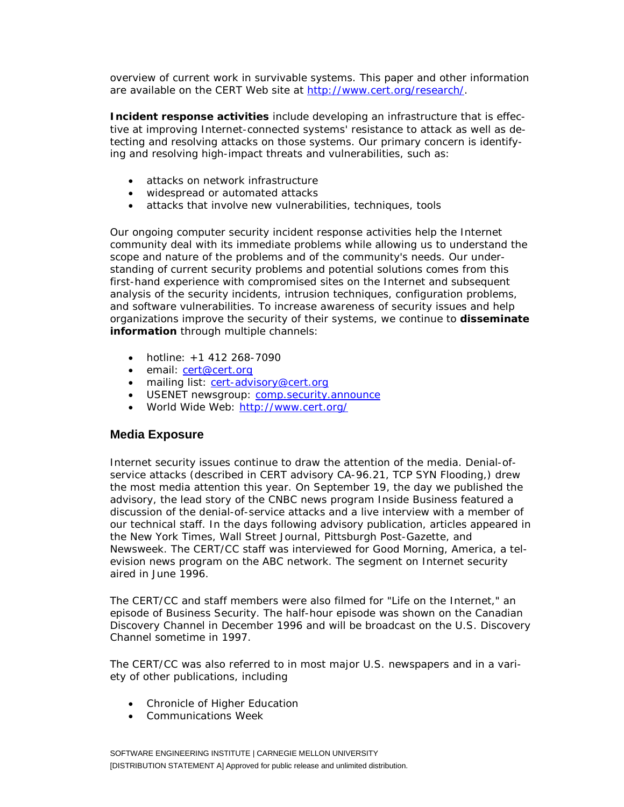overview of current work in survivable systems. This paper and other information are available on the CERT Web site at [http://www.cert.org/research/.](http://www.cert.org/research/)

**Incident response activities** include developing an infrastructure that is effective at improving Internet-connected systems' resistance to attack as well as detecting and resolving attacks on those systems. Our primary concern is identifying and resolving high-impact threats and vulnerabilities, such as:

- attacks on network infrastructure
- widespread or automated attacks
- attacks that involve new vulnerabilities, techniques, tools

Our ongoing computer security incident response activities help the Internet community deal with its immediate problems while allowing us to understand the scope and nature of the problems and of the community's needs. Our understanding of current security problems and potential solutions comes from this first-hand experience with compromised sites on the Internet and subsequent analysis of the security incidents, intrusion techniques, configuration problems, and software vulnerabilities. To increase awareness of security issues and help organizations improve the security of their systems, we continue to **disseminate information** through multiple channels:

- hotline: +1 412 268-7090
- email: [cert@cert.org](mailto:cert@cert.org)
- mailing list: [cert-advisory@cert.org](mailto:cert-advisory@cert.org)
- USENET newsgroup: [comp.security.announce](news:comp.security.announce)
- World Wide Web:<http://www.cert.org/>

#### <span id="page-4-0"></span>**Media Exposure**

Internet security issues continue to draw the attention of the media. Denial-ofservice attacks (described in CERT advisory CA-96.21, *TCP SYN Flooding*,) drew the most media attention this year. On September 19, the day we published the advisory, the lead story of the CNBC news program *Inside Business* featured a discussion of the denial-of-service attacks and a live interview with a member of our technical staff. In the days following advisory publication, articles appeared in the *New York Times*, *Wall Street Journal*, *Pittsburgh Post-Gazette*, and *Newsweek*. The CERT/CC staff was interviewed for *Good Morning, America*, a television news program on the ABC network. The segment on Internet security aired in June 1996.

The CERT/CC and staff members were also filmed for "Life on the Internet," an episode of *Business Security*. The half-hour episode was shown on the Canadian Discovery Channel in December 1996 and will be broadcast on the U.S. Discovery Channel sometime in 1997.

The CERT/CC was also referred to in most major U.S. newspapers and in a variety of other publications, including

- *Chronicle of Higher Education*
- *Communications Week*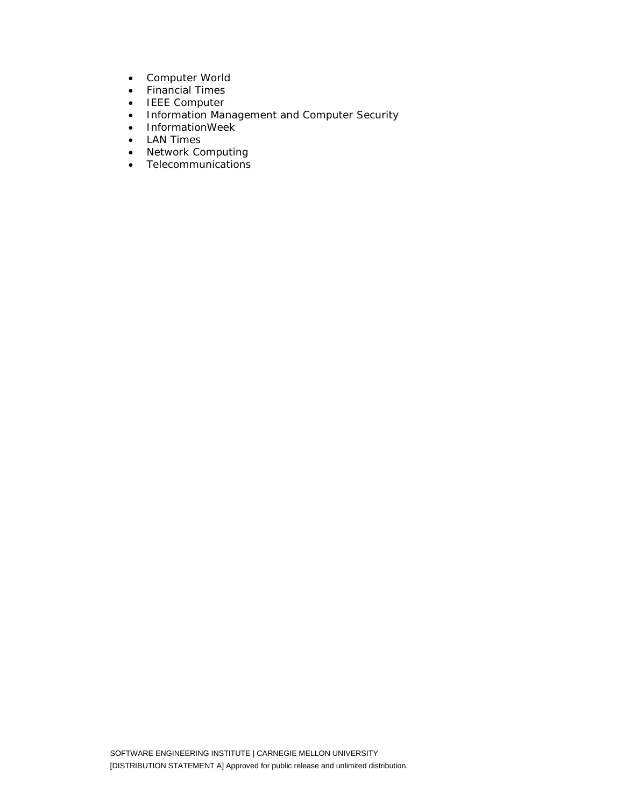- *Computer World*
- *Financial Times*
- *IEEE Computer*
- *Information Management and Computer Security*
- *InformationWeek*
- *LAN Times*
- *Network Computing*
- *Telecommunications*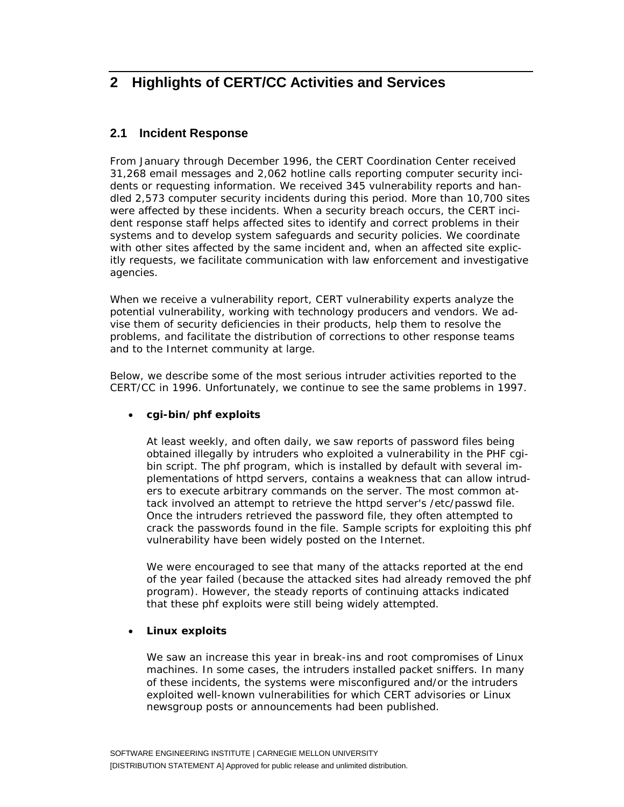## <span id="page-6-0"></span>**2 Highlights of CERT/CC Activities and Services**

### <span id="page-6-1"></span>**2.1 Incident Response**

From January through December 1996, the CERT Coordination Center received 31,268 email messages and 2,062 hotline calls reporting computer security incidents or requesting information. We received 345 vulnerability reports and handled 2,573 computer security incidents during this period. More than 10,700 sites were affected by these incidents. When a security breach occurs, the CERT incident response staff helps affected sites to identify and correct problems in their systems and to develop system safeguards and security policies. We coordinate with other sites affected by the same incident and, when an affected site explicitly requests, we facilitate communication with law enforcement and investigative agencies.

When we receive a vulnerability report, CERT vulnerability experts analyze the potential vulnerability, working with technology producers and vendors. We advise them of security deficiencies in their products, help them to resolve the problems, and facilitate the distribution of corrections to other response teams and to the Internet community at large.

Below, we describe some of the most serious intruder activities reported to the CERT/CC in 1996. Unfortunately, we continue to see the same problems in 1997.

#### • **cgi-bin/phf exploits**

At least weekly, and often daily, we saw reports of password files being obtained illegally by intruders who exploited a vulnerability in the PHF cgibin script. The phf program, which is installed by default with several implementations of httpd servers, contains a weakness that can allow intruders to execute arbitrary commands on the server. The most common attack involved an attempt to retrieve the httpd server's /etc/passwd file. Once the intruders retrieved the password file, they often attempted to crack the passwords found in the file. Sample scripts for exploiting this phf vulnerability have been widely posted on the Internet.

We were encouraged to see that many of the attacks reported at the end of the year failed (because the attacked sites had already removed the phf program). However, the steady reports of continuing attacks indicated that these phf exploits were still being widely attempted.

#### • **Linux exploits**

We saw an increase this year in break-ins and root compromises of Linux machines. In some cases, the intruders installed packet sniffers. In many of these incidents, the systems were misconfigured and/or the intruders exploited well-known vulnerabilities for which CERT advisories or Linux newsgroup posts or announcements had been published.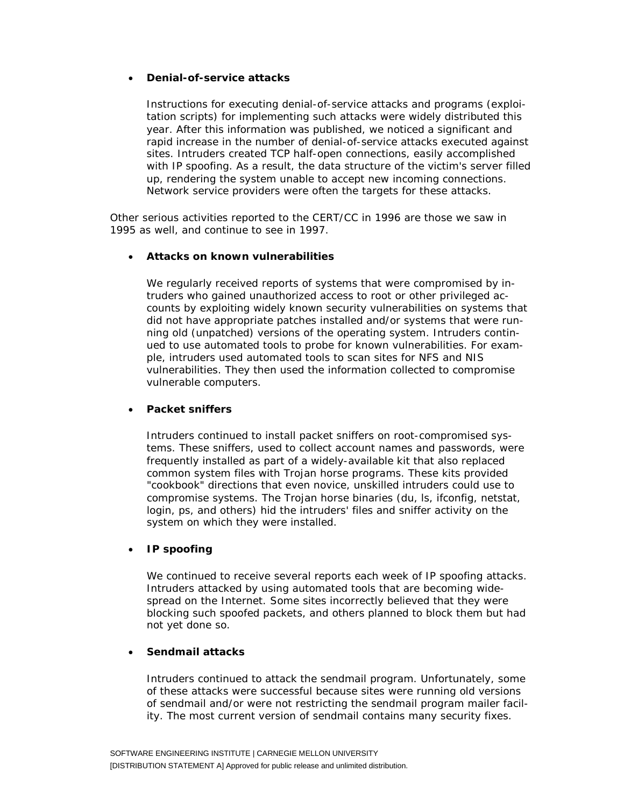#### • **Denial-of-service attacks**

Instructions for executing denial-of-service attacks and programs (exploitation scripts) for implementing such attacks were widely distributed this year. After this information was published, we noticed a significant and rapid increase in the number of denial-of-service attacks executed against sites. Intruders created TCP half-open connections, easily accomplished with IP spoofing. As a result, the data structure of the victim's server filled up, rendering the system unable to accept new incoming connections. Network service providers were often the targets for these attacks.

Other serious activities reported to the CERT/CC in 1996 are those we saw in 1995 as well, and continue to see in 1997.

#### • **Attacks on known vulnerabilities**

We regularly received reports of systems that were compromised by intruders who gained unauthorized access to root or other privileged accounts by exploiting widely known security vulnerabilities on systems that did not have appropriate patches installed and/or systems that were running old (unpatched) versions of the operating system. Intruders continued to use automated tools to probe for known vulnerabilities. For example, intruders used automated tools to scan sites for NFS and NIS vulnerabilities. They then used the information collected to compromise vulnerable computers.

#### • **Packet sniffers**

Intruders continued to install packet sniffers on root-compromised systems. These sniffers, used to collect account names and passwords, were frequently installed as part of a widely-available kit that also replaced common system files with Trojan horse programs. These kits provided "cookbook" directions that even novice, unskilled intruders could use to compromise systems. The Trojan horse binaries (du, ls, ifconfig, netstat, login, ps, and others) hid the intruders' files and sniffer activity on the system on which they were installed.

#### • **IP spoofing**

We continued to receive several reports each week of IP spoofing attacks. Intruders attacked by using automated tools that are becoming widespread on the Internet. Some sites incorrectly believed that they were blocking such spoofed packets, and others planned to block them but had not yet done so.

#### • **Sendmail attacks**

Intruders continued to attack the sendmail program. Unfortunately, some of these attacks were successful because sites were running old versions of sendmail and/or were not restricting the sendmail program mailer facility. The most current version of sendmail contains many security fixes.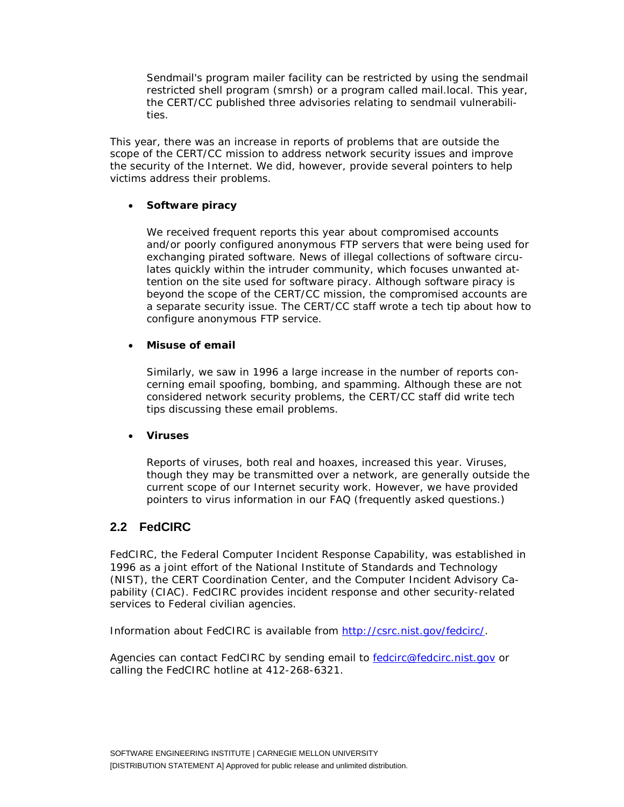Sendmail's program mailer facility can be restricted by using the sendmail restricted shell program (smrsh) or a program called mail.local. This year, the CERT/CC published three advisories relating to sendmail vulnerabilities.

This year, there was an increase in reports of problems that are outside the scope of the CERT/CC mission to address network security issues and improve the security of the Internet. We did, however, provide several pointers to help victims address their problems.

#### • **Software piracy**

We received frequent reports this year about compromised accounts and/or poorly configured anonymous FTP servers that were being used for exchanging pirated software. News of illegal collections of software circulates quickly within the intruder community, which focuses unwanted attention on the site used for software piracy. Although software piracy is beyond the scope of the CERT/CC mission, the compromised accounts are a separate security issue. The CERT/CC staff wrote a *tech tip* about how to configure anonymous FTP service.

#### • **Misuse of email**

Similarly, we saw in 1996 a large increase in the number of reports concerning email spoofing, bombing, and spamming. Although these are not considered network security problems, the CERT/CC staff did write *tech tips* discussing these email problems.

#### • **Viruses**

Reports of viruses, both real and hoaxes, increased this year. Viruses, though they may be transmitted over a network, are generally outside the current scope of our Internet security work. However, we have provided pointers to virus information in our FAQ (frequently asked questions.)

## <span id="page-8-0"></span>**2.2 FedCIRC**

FedCIRC, the Federal Computer Incident Response Capability, was established in 1996 as a joint effort of the National Institute of Standards and Technology (NIST), the CERT Coordination Center, and the Computer Incident Advisory Capability (CIAC). FedCIRC provides incident response and other security-related services to Federal civilian agencies.

Information about FedCIRC is available from [http://csrc.nist.gov/fedcirc/.](http://csrc.nist.gov/fedcirc/)

Agencies can contact FedCIRC by sending email to [fedcirc@fedcirc.nist.gov](http://www.preview.cert.org/annual_rpts/fedcirc@fedcirc.nist.gov) or calling the FedCIRC hotline at 412-268-6321.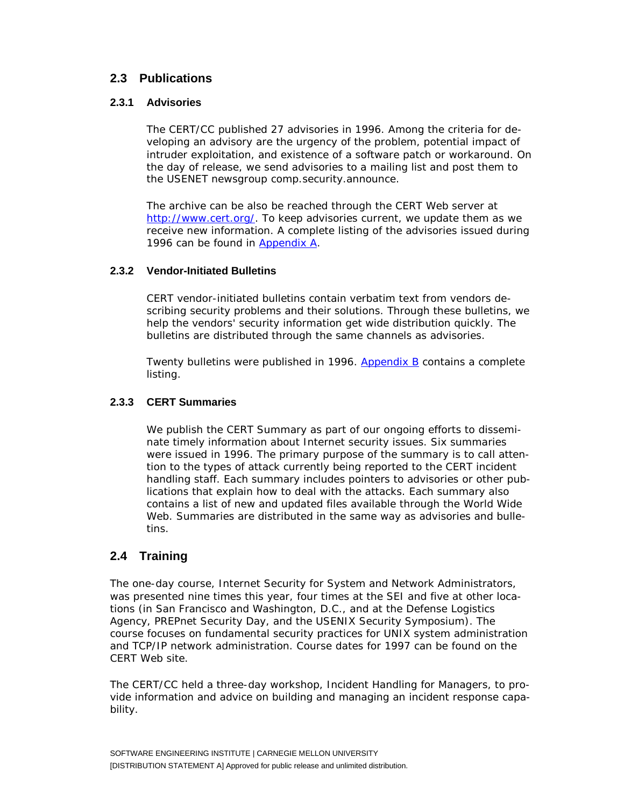#### <span id="page-9-0"></span>**2.3 Publications**

#### <span id="page-9-1"></span>**2.3.1 Advisories**

The CERT/CC published 27 advisories in 1996. Among the criteria for developing an advisory are the urgency of the problem, potential impact of intruder exploitation, and existence of a software patch or workaround. On the day of release, we send advisories to a mailing list and post them to the USENET newsgroup comp.security.announce.

The archive can be also be reached through the CERT Web server at [http://www.cert.org/.](http://www.cert.org/) To keep advisories current, we update them as we receive new information. A complete listing of the advisories issued during 1996 can be found in [Appendix A.](http://csauth-techxfer.sei.cmu.edu/asset_files/AnnualReport/1997_001_001_83542.html#AppA)

#### <span id="page-9-2"></span>**2.3.2 Vendor-Initiated Bulletins**

CERT vendor-initiated bulletins contain verbatim text from vendors describing security problems and their solutions. Through these bulletins, we help the vendors' security information get wide distribution quickly. The bulletins are distributed through the same channels as advisories.

Twenty bulletins were published in 1996. [Appendix B](http://csauth-techxfer.sei.cmu.edu/asset_files/AnnualReport/1997_001_001_83542.html#AppB) contains a complete listing.

#### <span id="page-9-3"></span>**2.3.3 CERT Summaries**

We publish the CERT Summary as part of our ongoing efforts to disseminate timely information about Internet security issues. Six summaries were issued in 1996. The primary purpose of the summary is to call attention to the types of attack currently being reported to the CERT incident handling staff. Each summary includes pointers to advisories or other publications that explain how to deal with the attacks. Each summary also contains a list of new and updated files available through the World Wide Web. Summaries are distributed in the same way as advisories and bulletins.

#### <span id="page-9-4"></span>**2.4 Training**

The one-day course, Internet Security for System and Network Administrators, was presented nine times this year, four times at the SEI and five at other locations (in San Francisco and Washington, D.C., and at the Defense Logistics Agency, PREPnet Security Day, and the USENIX Security Symposium). The course focuses on fundamental security practices for UNIX system administration and TCP/IP network administration. Course dates for 1997 can be found on the CERT Web site.

The CERT/CC held a three-day workshop, Incident Handling for Managers, to provide information and advice on building and managing an incident response capability.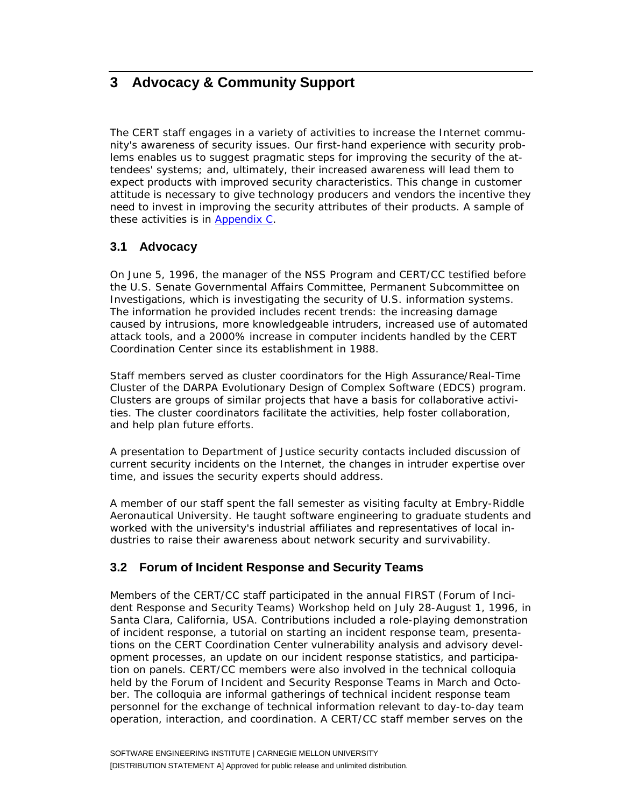## <span id="page-10-0"></span>**3 Advocacy & Community Support**

The CERT staff engages in a variety of activities to increase the Internet community's awareness of security issues. Our first-hand experience with security problems enables us to suggest pragmatic steps for improving the security of the attendees' systems; and, ultimately, their increased awareness will lead them to expect products with improved security characteristics. This change in customer attitude is necessary to give technology producers and vendors the incentive they need to invest in improving the security attributes of their products. A sample of these activities is in **Appendix C**.

## <span id="page-10-1"></span>**3.1 Advocacy**

On June 5, 1996, the manager of the NSS Program and CERT/CC testified before the U.S. Senate Governmental Affairs Committee, Permanent Subcommittee on Investigations, which is investigating the security of U.S. information systems. The information he provided includes recent trends: the increasing damage caused by intrusions, more knowledgeable intruders, increased use of automated attack tools, and a 2000% increase in computer incidents handled by the CERT Coordination Center since its establishment in 1988.

Staff members served as cluster coordinators for the High Assurance/Real-Time Cluster of the DARPA Evolutionary Design of Complex Software (EDCS) program. *Clusters* are groups of similar projects that have a basis for collaborative activities. The cluster coordinators facilitate the activities, help foster collaboration, and help plan future efforts.

A presentation to Department of Justice security contacts included discussion of current security incidents on the Internet, the changes in intruder expertise over time, and issues the security experts should address.

A member of our staff spent the fall semester as visiting faculty at Embry-Riddle Aeronautical University. He taught software engineering to graduate students and worked with the university's industrial affiliates and representatives of local industries to raise their awareness about network security and survivability.

#### <span id="page-10-2"></span>**3.2 Forum of Incident Response and Security Teams**

Members of the CERT/CC staff participated in the annual FIRST (Forum of Incident Response and Security Teams) Workshop held on July 28-August 1, 1996, in Santa Clara, California, USA. Contributions included a role-playing demonstration of incident response, a tutorial on starting an incident response team, presentations on the CERT Coordination Center vulnerability analysis and advisory development processes, an update on our incident response statistics, and participation on panels. CERT/CC members were also involved in the technical colloquia held by the Forum of Incident and Security Response Teams in March and October. The colloquia are informal gatherings of technical incident response team personnel for the exchange of technical information relevant to day-to-day team operation, interaction, and coordination. A CERT/CC staff member serves on the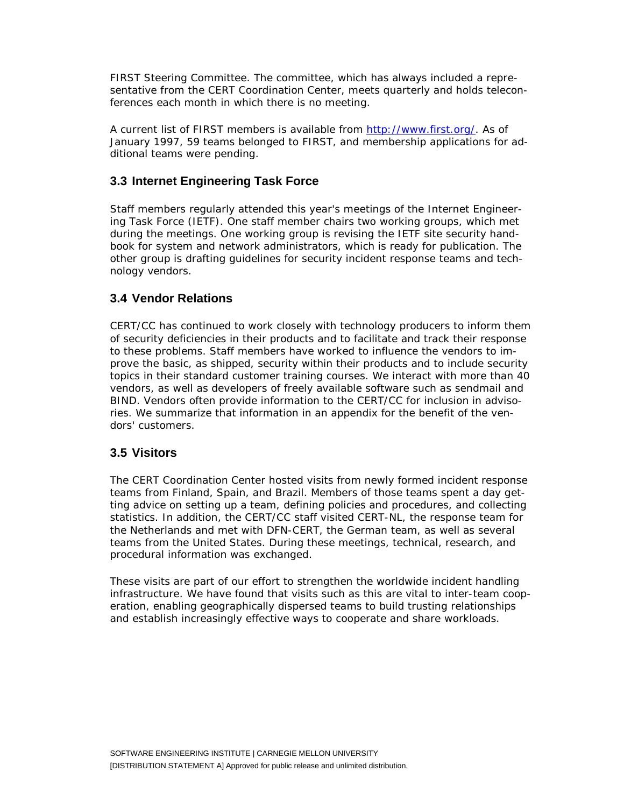FIRST Steering Committee. The committee, which has always included a representative from the CERT Coordination Center, meets quarterly and holds teleconferences each month in which there is no meeting.

A current list of FIRST members is available from [http://www.first.org/.](http://www.first.org/) As of January 1997, 59 teams belonged to FIRST, and membership applications for additional teams were pending.

#### <span id="page-11-0"></span>**3.3 Internet Engineering Task Force**

Staff members regularly attended this year's meetings of the Internet Engineering Task Force (IETF). One staff member chairs two working groups, which met during the meetings. One working group is revising the IETF site security handbook for system and network administrators, which is ready for publication. The other group is drafting guidelines for security incident response teams and technology vendors.

#### <span id="page-11-1"></span>**3.4 Vendor Relations**

CERT/CC has continued to work closely with technology producers to inform them of security deficiencies in their products and to facilitate and track their response to these problems. Staff members have worked to influence the vendors to improve the basic, as shipped, security within their products and to include security topics in their standard customer training courses. We interact with more than 40 vendors, as well as developers of freely available software such as sendmail and BIND. Vendors often provide information to the CERT/CC for inclusion in advisories. We summarize that information in an appendix for the benefit of the vendors' customers.

#### <span id="page-11-2"></span>**3.5 Visitors**

The CERT Coordination Center hosted visits from newly formed incident response teams from Finland, Spain, and Brazil. Members of those teams spent a day getting advice on setting up a team, defining policies and procedures, and collecting statistics. In addition, the CERT/CC staff visited CERT-NL, the response team for the Netherlands and met with DFN-CERT, the German team, as well as several teams from the United States. During these meetings, technical, research, and procedural information was exchanged.

These visits are part of our effort to strengthen the worldwide incident handling infrastructure. We have found that visits such as this are vital to inter-team cooperation, enabling geographically dispersed teams to build trusting relationships and establish increasingly effective ways to cooperate and share workloads.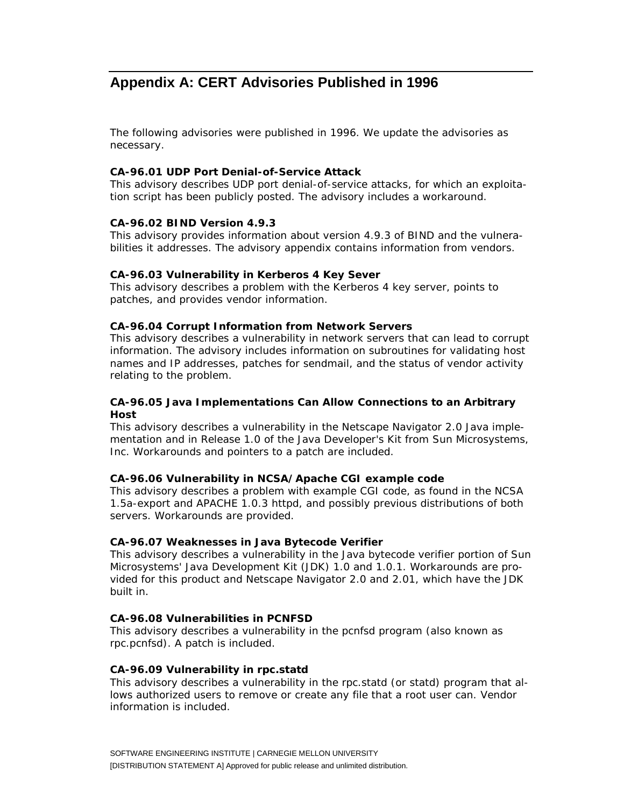## <span id="page-12-0"></span>**Appendix A: CERT Advisories Published in 1996**

The following advisories were published in 1996. We update the advisories as necessary.

#### **CA-96.01 UDP Port Denial-of-Service Attack**

This advisory describes UDP port denial-of-service attacks, for which an exploitation script has been publicly posted. The advisory includes a workaround.

#### **CA-96.02 BIND Version 4.9.3**

This advisory provides information about version 4.9.3 of BIND and the vulnerabilities it addresses. The advisory appendix contains information from vendors.

#### **CA-96.03 Vulnerability in Kerberos 4 Key Sever**

This advisory describes a problem with the Kerberos 4 key server, points to patches, and provides vendor information.

#### **CA-96.04 Corrupt Information from Network Servers**

This advisory describes a vulnerability in network servers that can lead to corrupt information. The advisory includes information on subroutines for validating host names and IP addresses, patches for sendmail, and the status of vendor activity relating to the problem.

#### **CA-96.05 Java Implementations Can Allow Connections to an Arbitrary Host**

This advisory describes a vulnerability in the Netscape Navigator 2.0 Java implementation and in Release 1.0 of the Java Developer's Kit from Sun Microsystems, Inc. Workarounds and pointers to a patch are included.

#### **CA-96.06 Vulnerability in NCSA/Apache CGI example code**

This advisory describes a problem with example CGI code, as found in the NCSA 1.5a-export and APACHE 1.0.3 httpd, and possibly previous distributions of both servers. Workarounds are provided.

#### **CA-96.07 Weaknesses in Java Bytecode Verifier**

This advisory describes a vulnerability in the Java bytecode verifier portion of Sun Microsystems' Java Development Kit (JDK) 1.0 and 1.0.1. Workarounds are provided for this product and Netscape Navigator 2.0 and 2.01, which have the JDK built in.

#### **CA-96.08 Vulnerabilities in PCNFSD**

This advisory describes a vulnerability in the pcnfsd program (also known as rpc.pcnfsd). A patch is included.

#### **CA-96.09 Vulnerability in rpc.statd**

This advisory describes a vulnerability in the rpc.statd (or statd) program that allows authorized users to remove or create any file that a root user can. Vendor information is included.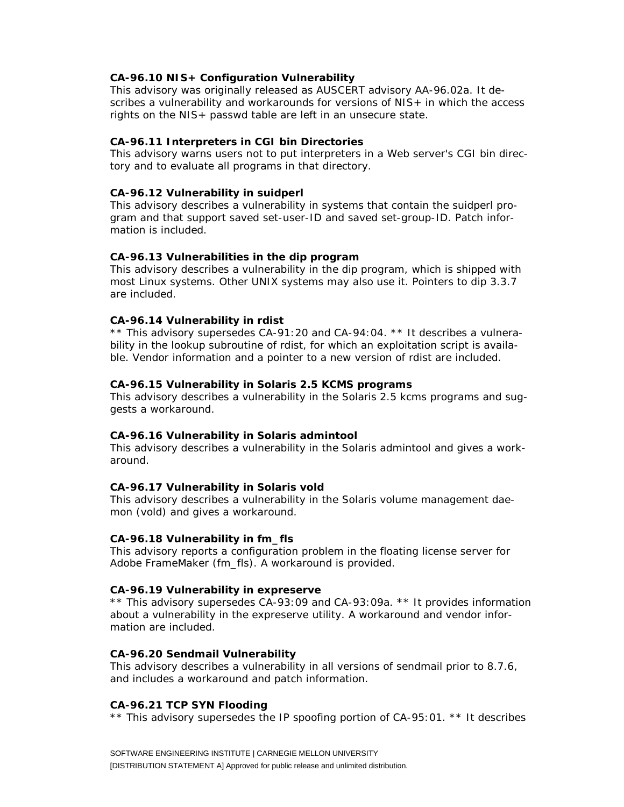#### **CA-96.10 NIS+ Configuration Vulnerability**

This advisory was originally released as AUSCERT advisory AA-96.02a. It describes a vulnerability and workarounds for versions of NIS+ in which the access rights on the NIS+ passwd table are left in an unsecure state.

#### **CA-96.11 Interpreters in CGI bin Directories**

This advisory warns users not to put interpreters in a Web server's CGI bin directory and to evaluate all programs in that directory.

#### **CA-96.12 Vulnerability in suidperl**

This advisory describes a vulnerability in systems that contain the suidperl program and that support saved set-user-ID and saved set-group-ID. Patch information is included.

#### **CA-96.13 Vulnerabilities in the dip program**

This advisory describes a vulnerability in the dip program, which is shipped with most Linux systems. Other UNIX systems may also use it. Pointers to dip 3.3.7 are included.

#### **CA-96.14 Vulnerability in rdist**

\*\* This advisory supersedes CA-91:20 and CA-94:04. \*\* It describes a vulnerability in the lookup subroutine of rdist, for which an exploitation script is available. Vendor information and a pointer to a new version of rdist are included.

#### **CA-96.15 Vulnerability in Solaris 2.5 KCMS programs**

This advisory describes a vulnerability in the Solaris 2.5 kcms programs and suggests a workaround.

#### **CA-96.16 Vulnerability in Solaris admintool**

This advisory describes a vulnerability in the Solaris admintool and gives a workaround.

#### **CA-96.17 Vulnerability in Solaris vold**

This advisory describes a vulnerability in the Solaris volume management daemon (vold) and gives a workaround.

#### **CA-96.18 Vulnerability in fm\_fls**

This advisory reports a configuration problem in the floating license server for Adobe FrameMaker (fm\_fls). A workaround is provided.

#### **CA-96.19 Vulnerability in expreserve**

\*\* This advisory supersedes CA-93:09 and CA-93:09a. \*\* It provides information about a vulnerability in the expreserve utility. A workaround and vendor information are included.

#### **CA-96.20 Sendmail Vulnerability**

This advisory describes a vulnerability in all versions of sendmail prior to 8.7.6, and includes a workaround and patch information.

#### **CA-96.21 TCP SYN Flooding**

\*\* This advisory supersedes the IP spoofing portion of CA-95:01. \*\* It describes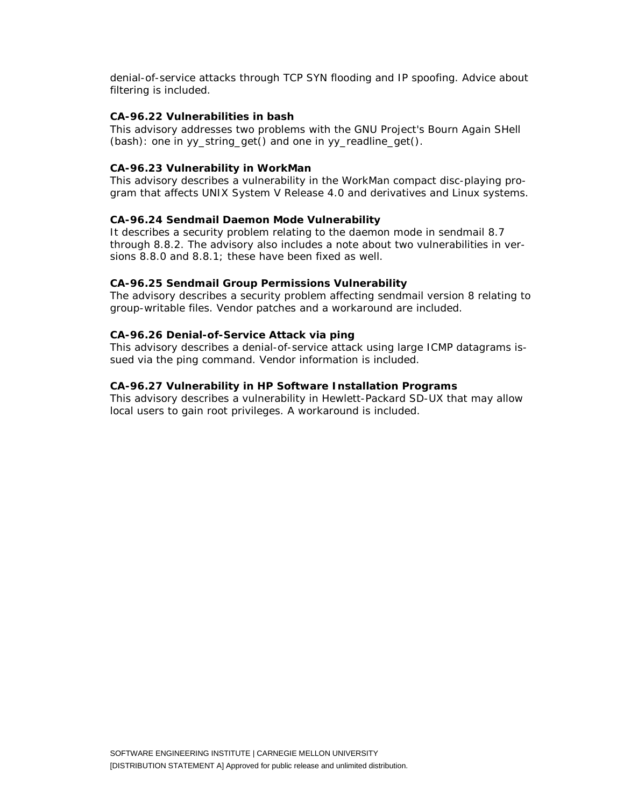denial-of-service attacks through TCP SYN flooding and IP spoofing. Advice about filtering is included.

#### **CA-96.22 Vulnerabilities in bash**

This advisory addresses two problems with the GNU Project's Bourn Again SHell (bash): one in yy\_string\_get() and one in yy\_readline\_get().

#### **CA-96.23 Vulnerability in WorkMan**

This advisory describes a vulnerability in the WorkMan compact disc-playing program that affects UNIX System V Release 4.0 and derivatives and Linux systems.

#### **CA-96.24 Sendmail Daemon Mode Vulnerability**

It describes a security problem relating to the daemon mode in sendmail 8.7 through 8.8.2. The advisory also includes a note about two vulnerabilities in versions 8.8.0 and 8.8.1; these have been fixed as well.

#### **CA-96.25 Sendmail Group Permissions Vulnerability**

The advisory describes a security problem affecting sendmail version 8 relating to group-writable files. Vendor patches and a workaround are included.

#### **CA-96.26 Denial-of-Service Attack via ping**

This advisory describes a denial-of-service attack using large ICMP datagrams issued via the ping command. Vendor information is included.

#### **CA-96.27 Vulnerability in HP Software Installation Programs**

This advisory describes a vulnerability in Hewlett-Packard SD-UX that may allow local users to gain root privileges. A workaround is included.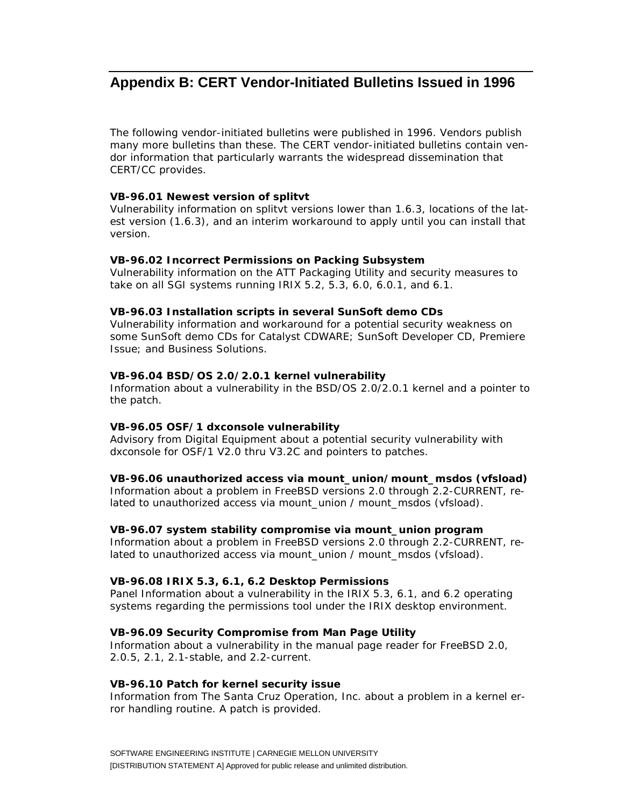## <span id="page-15-0"></span>**Appendix B: CERT Vendor-Initiated Bulletins Issued in 1996**

The following vendor-initiated bulletins were published in 1996. Vendors publish many more bulletins than these. The CERT vendor-initiated bulletins contain vendor information that particularly warrants the widespread dissemination that CERT/CC provides.

#### **VB-96.01 Newest version of splitvt**

Vulnerability information on splitvt versions lower than 1.6.3, locations of the latest version (1.6.3), and an interim workaround to apply until you can install that version.

#### **VB-96.02 Incorrect Permissions on Packing Subsystem**

Vulnerability information on the *ATT Packaging Utility* and security measures to take on all SGI systems running IRIX 5.2, 5.3, 6.0, 6.0.1, and 6.1.

#### **VB-96.03 Installation scripts in several SunSoft demo CDs**

Vulnerability information and workaround for a potential security weakness on some SunSoft demo CDs for Catalyst CDWARE; SunSoft Developer CD, Premiere Issue; and Business Solutions.

#### **VB-96.04 BSD/OS 2.0/2.0.1 kernel vulnerability**

Information about a vulnerability in the BSD/OS 2.0/2.0.1 kernel and a pointer to the patch.

#### **VB-96.05 OSF/1 dxconsole vulnerability**

Advisory from Digital Equipment about a potential security vulnerability with dxconsole for OSF/1 V2.0 thru V3.2C and pointers to patches.

#### **VB-96.06 unauthorized access via mount\_union/mount\_msdos (vfsload)**

Information about a problem in FreeBSD versions 2.0 through 2.2-CURRENT, related to unauthorized access via mount\_union / mount\_msdos (vfsload).

#### **VB-96.07 system stability compromise via mount\_union program**

Information about a problem in FreeBSD versions 2.0 through 2.2-CURRENT, related to unauthorized access via mount union / mount msdos (vfsload).

#### **VB-96.08 IRIX 5.3, 6.1, 6.2 Desktop Permissions**

Panel Information about a vulnerability in the IRIX 5.3, 6.1, and 6.2 operating systems regarding the permissions tool under the IRIX desktop environment.

#### **VB-96.09 Security Compromise from Man Page Utility**

Information about a vulnerability in the manual page reader for FreeBSD 2.0, 2.0.5, 2.1, 2.1-stable, and 2.2-current.

#### **VB-96.10 Patch for kernel security issue**

Information from The Santa Cruz Operation, Inc. about a problem in a kernel error handling routine. A patch is provided.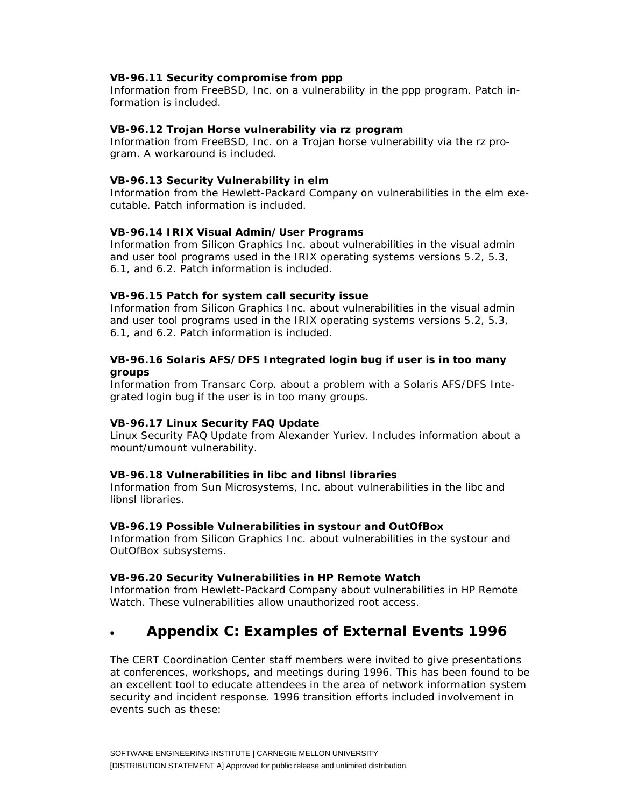#### **VB-96.11 Security compromise from ppp**

Information from FreeBSD, Inc. on a vulnerability in the ppp program. Patch information is included.

#### **VB-96.12** *Trojan Horse* **vulnerability via rz program**

Information from FreeBSD, Inc. on a Trojan horse vulnerability via the rz program. A workaround is included.

#### **VB-96.13 Security Vulnerability in elm**

Information from the Hewlett-Packard Company on vulnerabilities in the elm executable. Patch information is included.

#### **VB-96.14 IRIX Visual Admin/User Programs**

Information from Silicon Graphics Inc. about vulnerabilities in the visual admin and user tool programs used in the IRIX operating systems versions 5.2, 5.3, 6.1, and 6.2. Patch information is included.

#### **VB-96.15 Patch for system call security issue**

Information from Silicon Graphics Inc. about vulnerabilities in the visual admin and user tool programs used in the IRIX operating systems versions 5.2, 5.3, 6.1, and 6.2. Patch information is included.

#### **VB-96.16 Solaris AFS/DFS Integrated login bug if user is in too many groups**

Information from Transarc Corp. about a problem with a Solaris AFS/DFS Integrated login bug if the user is in too many groups.

#### **VB-96.17 Linux Security FAQ Update**

Linux Security FAQ Update from Alexander Yuriev. Includes information about a mount/umount vulnerability.

#### **VB-96.18 Vulnerabilities in libc and libnsl libraries**

Information from Sun Microsystems, Inc. about vulnerabilities in the libc and libnsl libraries.

#### **VB-96.19 Possible Vulnerabilities in systour and OutOfBox**

Information from Silicon Graphics Inc. about vulnerabilities in the systour and OutOfBox subsystems.

#### **VB-96.20 Security Vulnerabilities in HP Remote Watch**

Information from Hewlett-Packard Company about vulnerabilities in HP Remote Watch. These vulnerabilities allow unauthorized root access.

## • **Appendix C: Examples of External Events 1996**

The CERT Coordination Center staff members were invited to give presentations at conferences, workshops, and meetings during 1996. This has been found to be an excellent tool to educate attendees in the area of network information system security and incident response. 1996 transition efforts included involvement in events such as these: